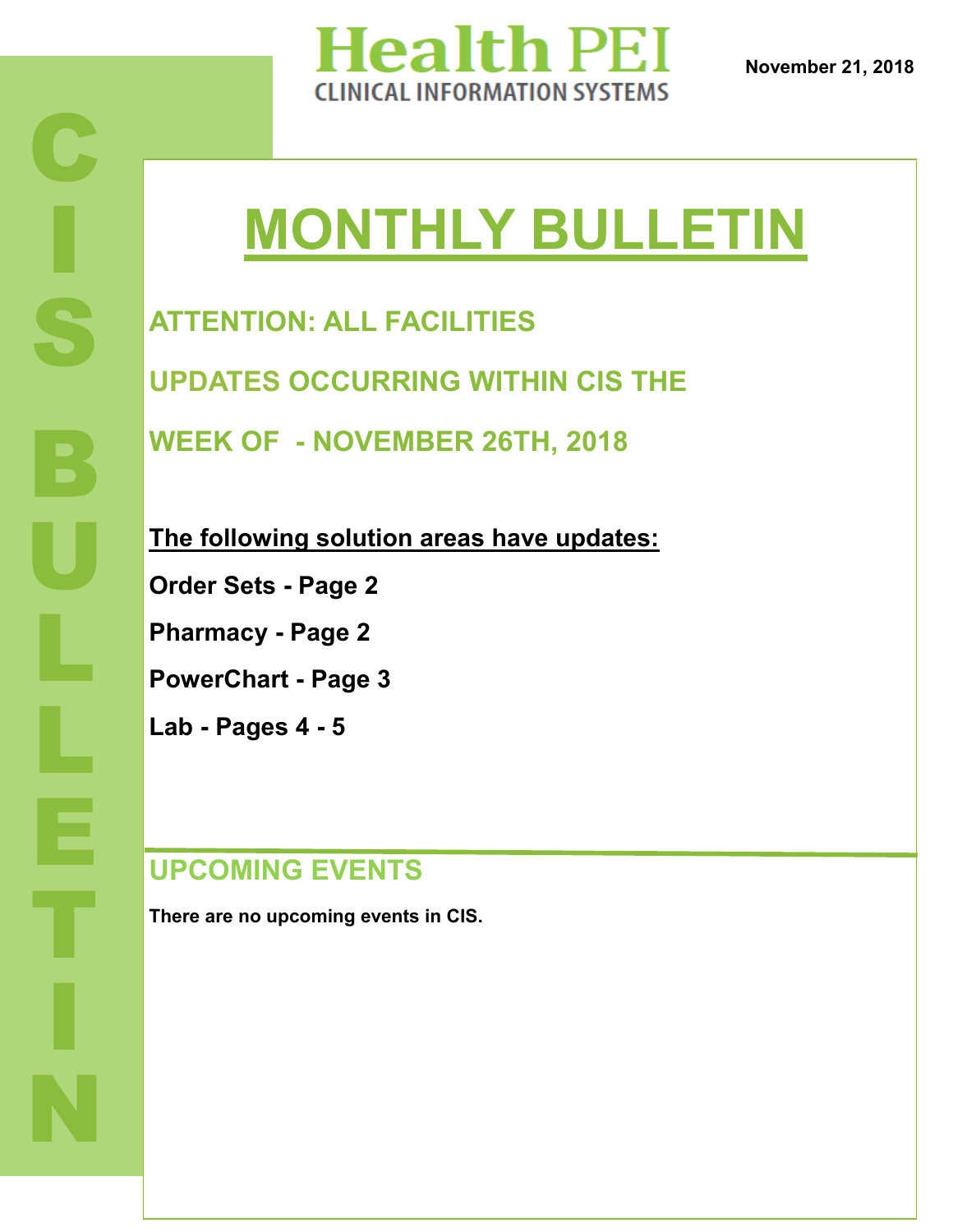

# **MONTHLY BULLETIN**

**ATTENTION: ALL FACILITIES UPDATES OCCURRING WITHIN CIS THE** 

**WEEK OF - NOVEMBER 26TH, 2018**

**The following solution areas have updates:**

**Order Sets - Page 2**

**Pharmacy - Page 2**

**PowerChart - Page 3**

**Lab - Pages 4 - 5**

### **UPCOMING EVENTS**

**There are no upcoming events in CIS.**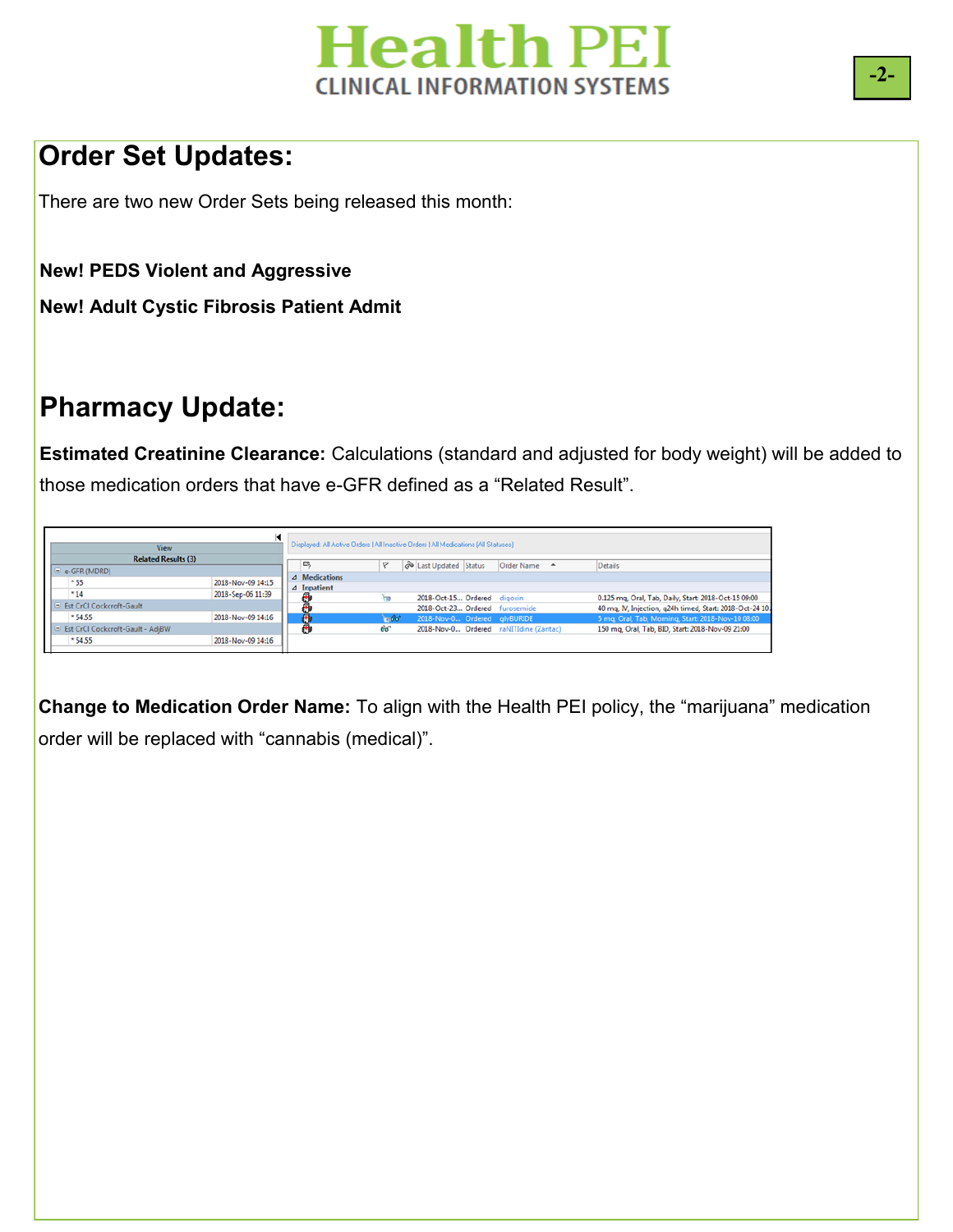

### **Order Set Updates:**

There are two new Order Sets being released this month:

**New! PEDS Violent and Aggressive**

**New! Adult Cystic Fibrosis Patient Admit**

### **Pharmacy Update:**

**Estimated Creatinine Clearance:** Calculations (standard and adjusted for body weight) will be added to those medication orders that have e-GFR defined as a "Related Result".

| View                               |                   | Displayed: All Active Orders   All Inactive Orders   All Medications [All Statuses] |               |                                |                                        |                                                          |
|------------------------------------|-------------------|-------------------------------------------------------------------------------------|---------------|--------------------------------|----------------------------------------|----------------------------------------------------------|
| <b>Related Results (3)</b>         |                   |                                                                                     | v             |                                |                                        |                                                          |
| $\equiv$ e-GFR (MDRD)              |                   |                                                                                     |               | Status Last Updated Status     | Order Name A                           | Details                                                  |
| $*55$                              | 2018-Nov-09 14:15 | ⊿ Medications                                                                       |               |                                |                                        |                                                          |
| $*14$                              | 2018-Sep-06 11:39 | $\triangle$ Inpatient                                                               |               |                                |                                        |                                                          |
|                                    |                   |                                                                                     |               | 2018-Oct-15 Ordered digoxin    |                                        | 0.125 mg, Oral, Tab, Daily, Start: 2018-Oct-15 09:00     |
| E Est CrCl Cockcroft-Gault         |                   |                                                                                     |               | 2018-Oct-23 Ordered furosemide |                                        | 40 mq, IV, Injection, q24h timed, Start: 2018-Oct-24 10. |
| $*54.55$                           | 2018-Nov-09 14:16 |                                                                                     | $-60^{\circ}$ | 2018-Nov-0 Ordered glyBURIDE   |                                        | 5 mg, Oral, Tab, Morning, Start: 2018-Nov-10 08:00       |
| E Est CrCl Cockcroft-Gault - AdjBW |                   |                                                                                     | 66            |                                | 2018-Nov-0 Ordered raNITIdine (Zantac) | 150 mg, Oral, Tab, BID, Start: 2018-Nov-09 21:00         |
| *54.55                             | 2018-Nov-09 14:16 |                                                                                     |               |                                |                                        |                                                          |
|                                    |                   |                                                                                     |               |                                |                                        |                                                          |

**PESTIMATED CREATININE CLEARANCELANNING ASSESSMENT Change to Medication Order Name:** To align with the Health PEI policy, the "marijuana" medication order will be replaced with "cannabis (medical)".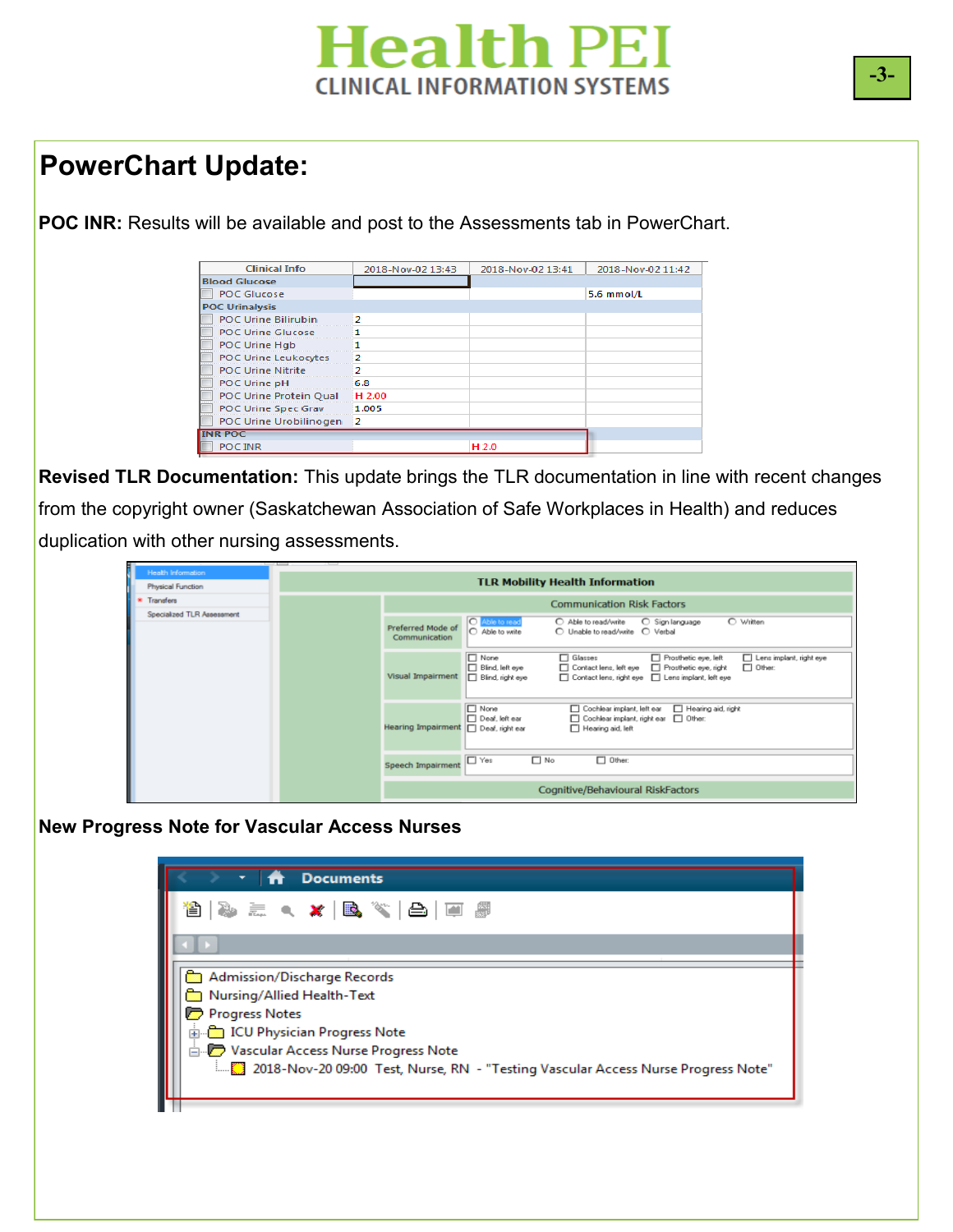## **Health PEI CLINICAL INFORMATION SYSTEMS**

### **PowerChart Update:**

**POC INR:** Results will be available and post to the Assessments tab in PowerChart.

| <b>Clinical Info</b>        | 2018-Nov-02 13:43 | 2018-Nov-02 13:41 | 2018-Nov-02 11:42 |
|-----------------------------|-------------------|-------------------|-------------------|
| <b>Blood Glucose</b>        |                   |                   |                   |
| <b>POC Glucose</b>          |                   |                   | 5.6 mmol/L        |
| <b>POC Urinalysis</b>       |                   |                   |                   |
| <b>POC Urine Bilirubin</b>  | o                 |                   |                   |
| <b>POC Urine Glucose</b>    |                   |                   |                   |
| POC Urine Hgb               |                   |                   |                   |
| <b>POC Urine Leukocytes</b> |                   |                   |                   |
| <b>POC Urine Nitrite</b>    |                   |                   |                   |
| POC Urine pH                | 6.8               |                   |                   |
| POC Urine Protein Qual      | H 2.00            |                   |                   |
| <b>POC Urine Spec Grav</b>  | 1.005             |                   |                   |
| POC Urine Urobilinogen      | -2                |                   |                   |
| <b>INR POC</b>              |                   |                   |                   |
| POC INR                     |                   | H 2.0             |                   |

**Revised TLR Documentation:** This update brings the TLR documentation in line with recent changes from the copyright owner (Saskatchewan Association of Safe Workplaces in Health) and reduces duplication with other nursing assessments.

| <b>STAR</b><br><b>Health Information</b><br>Physical Function | $\overline{1}$<br>$-$<br><b>TLR Mobility Health Information</b> |                                      |                                                    |                                                                                              |                                               |                                          |  |  |
|---------------------------------------------------------------|-----------------------------------------------------------------|--------------------------------------|----------------------------------------------------|----------------------------------------------------------------------------------------------|-----------------------------------------------|------------------------------------------|--|--|
| <b>Transfers</b>                                              |                                                                 | <b>Communication Risk Factors</b>    |                                                    |                                                                                              |                                               |                                          |  |  |
| Specialized TLR Assessment                                    |                                                                 | Preferred Mode of<br>Communication   | O Able to read<br>C Able to write                  | C Able to read/write                                                                         | C Sign language                               | O Written                                |  |  |
|                                                               |                                                                 | Visual Impairment                    | $\Box$ None<br>Blind, left eye<br>Blind, right eye | $\Box$ Glasses<br>Contact lens, left eye<br>Contact lens, right eye   Lens implant, left eye | Prosthetic eye, left<br>Prosthetic eye, right | Lens implant, right eye<br>$\Box$ Other: |  |  |
|                                                               |                                                                 | Hearing Impairment   Deal, right ear | $\Box$ None<br>Deal, left ear                      | Cochlear implant, left ear<br>Cochlear implant, right ear   Other:<br>Hearing aid, left      | Hearing aid, right                            |                                          |  |  |
|                                                               |                                                                 | Speech Impairment                    | $\Box$ Yes                                         | $\Box$ No<br>$\Box$ Other:                                                                   |                                               |                                          |  |  |
|                                                               |                                                                 |                                      |                                                    | Cognitive/Behavioural RiskFactors                                                            |                                               |                                          |  |  |

#### **New Progress Note for Vascular Access Nurses**

| <b>Documents</b>                                                                                                                                                                                                                                                                                                                             |
|----------------------------------------------------------------------------------------------------------------------------------------------------------------------------------------------------------------------------------------------------------------------------------------------------------------------------------------------|
|                                                                                                                                                                                                                                                                                                                                              |
|                                                                                                                                                                                                                                                                                                                                              |
| Admission/Discharge Records<br>ित्र Nursing/Allied Health-Text<br>Progress Notes<br>ம் <mark>இ</mark> ICU Physician Progress Note<br>ं हो अपने अपने Progress Number को अपने स्थान के अपने पाउँ विकास को अपने स्थान के प्रोफ्न के स्थान के बाद से उ<br>[14] 2018-Nov-20 09:00 Test, Nurse, RN - "Testing Vascular Access Nurse Progress Note" |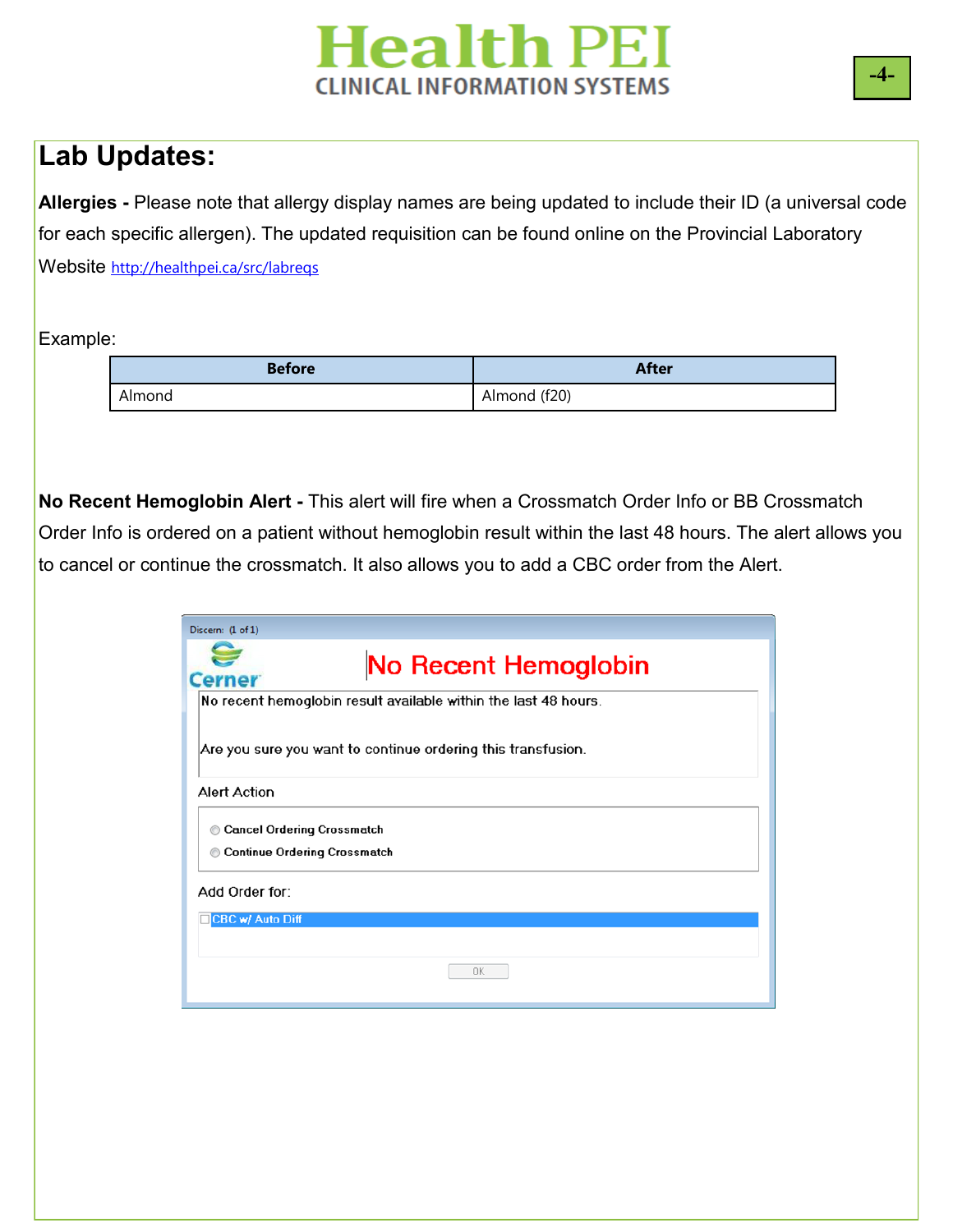# **Health PEI CLINICAL INFORMATION SYSTEMS**

### **Lab Updates:**

**Allergies -** Please note that allergy display names are being updated to include their ID (a universal code for each specific allergen). The updated requisition can be found online on the Provincial Laboratory Website <http://healthpei.ca/src/labreqs>

Example:

| <b>Before</b> | <b>After</b> |
|---------------|--------------|
| Almond        | Almond (f20) |

**No Recent Hemoglobin Alert -** This alert will fire when a Crossmatch Order Info or BB Crossmatch Order Info is ordered on a patient without hemoglobin result within the last 48 hours. The alert allows you to cancel or continue the crossmatch. It also allows you to add a CBC order from the Alert.

| Discern: (1 of 1)                                                             |
|-------------------------------------------------------------------------------|
| No Recent Hemoglobin<br><b>Cerner</b>                                         |
| No recent hemoglobin result available within the last 48 hours.               |
| Are you sure you want to continue ordering this transfusion.                  |
| <b>Alert Action</b>                                                           |
| <b>Cancel Ordering Crossmatch</b><br><b>Continue Ordering Crossmatch</b><br>⊙ |
| Add Order for:                                                                |
| CBC w/ Auto Diff                                                              |
|                                                                               |
| OK                                                                            |

**-4-**